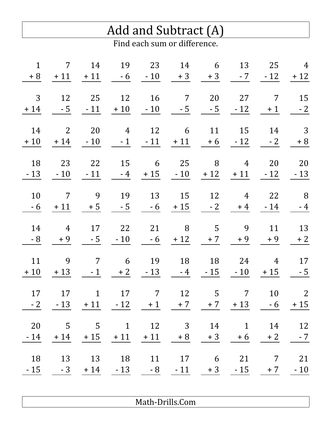|              |                          |                              |                                                |    | Add and Subtract (A) |                                                                              |                            |                        |                         |  |  |  |  |  |
|--------------|--------------------------|------------------------------|------------------------------------------------|----|----------------------|------------------------------------------------------------------------------|----------------------------|------------------------|-------------------------|--|--|--|--|--|
|              |                          | Find each sum or difference. |                                                |    |                      |                                                                              |                            |                        |                         |  |  |  |  |  |
| $\mathbf{1}$ | 7                        | 14                           |                                                |    |                      | 19 23 14 6 13 25 4<br>$+8$ $+11$ $+11$ $-6$ $-10$ $+3$ $+3$ $-7$ $-12$ $+12$ |                            |                        |                         |  |  |  |  |  |
| 3            | 12                       | 25                           | 12                                             |    |                      | 16 7 20 27<br>$+14$ $-5$ $-11$ $+10$ $-10$ $-5$ $-5$ $-12$                   |                            | $\overline{7}$<br>$+1$ | 15<br>$-2$              |  |  |  |  |  |
| 14<br>$+10$  | $\overline{\phantom{a}}$ | 20                           | 4 12<br>$+14$ $-10$ $-1$ $-11$ $+11$           |    | 6 11                 |                                                                              | 15 14 3<br>$+6$ $-12$ $-2$ |                        | $+8$                    |  |  |  |  |  |
| 18           | 23                       |                              | 22 15<br>$-13 - 10 - 11 - 4$                   |    |                      | 6 25 8 4 20<br>$+15$ $-10$ $+12$ $+11$ $-12$ $-13$                           |                            |                        | 20                      |  |  |  |  |  |
| 10<br>$-6$   | $\overline{7}$<br>$+11$  | 9                            | 19<br>$+5$ $-5$                                |    |                      | 13 15 12 4 22 8<br>$-6 + 15 - 2$                                             | $+4$                       |                        | $-14 - 4$               |  |  |  |  |  |
| 14<br>$-8$   | 4 17<br>$+9$             | $-5$                         | 22<br>$-10$                                    | 21 | 8 5<br>$-6 + 12$     | $+7$                                                                         | 9<br>$+9$                  | $+9$                   | 11 13<br>$+2$           |  |  |  |  |  |
| 11           | 9                        |                              |                                                |    |                      | 7 6 19 18 18 24 4<br>$+10$ $+13$ $-1$ $+2$ $-13$ $-4$ $-15$ $-10$ $+15$ $-5$ |                            |                        | 17                      |  |  |  |  |  |
| 17<br>$-2$   | 17                       | $\overline{1}$               |                                                |    |                      | 17 7 12 5 7<br>$-13$ $+11$ $-12$ $+1$ $+7$ $+7$ $+13$ $-6$ $+15$             |                            | 10                     | $\overline{\mathbf{c}}$ |  |  |  |  |  |
| 20<br>$-14$  | $\overline{5}$           | $\overline{5}$               | $\overline{1}$<br>$+14$ $+15$ $+11$ $+11$ $+8$ |    |                      | 12 3 14 1                                                                    | $+3$ $+6$                  | 14<br>$+2$             | 12<br>$-7$              |  |  |  |  |  |
| 18<br>$-15$  |                          | 13 13 18                     | $-3 + 14 - 13$                                 | 11 |                      | 17 6 21<br>$-8$ $-11$ $+3$ $-15$ $+7$                                        |                            | $\overline{7}$         | 21<br>$-10$             |  |  |  |  |  |

Math-Drills.Com